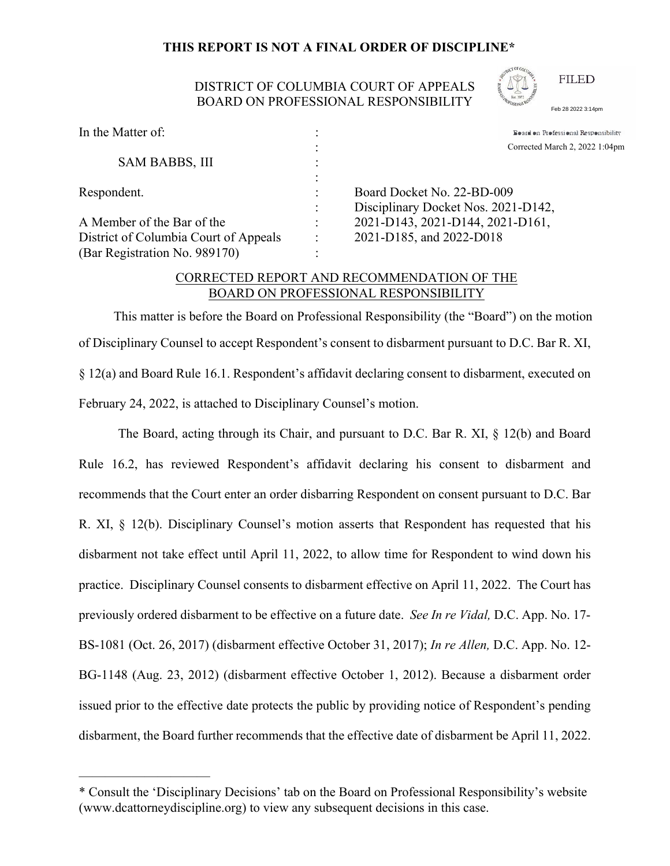## THIS REPORT IS NOT A FINAL ORDER OF DISCIPLINE\*

## DISTRICT OF COLUMBIA COURT OF APPEALS **BOARD ON PROFESSIONAL RESPONSIBILITY**



**FILED** 

Feb 28 2022 3:14pm

| Board on Professional Responsibility                                                                  |  |                          |
|-------------------------------------------------------------------------------------------------------|--|--------------------------|
| Corrected March 2, 2022 1:04pm                                                                        |  |                          |
|                                                                                                       |  |                          |
|                                                                                                       |  |                          |
| Board Docket No. 22-BD-009<br>Disciplinary Docket Nos. 2021-D142,<br>2021-D143, 2021-D144, 2021-D161, |  |                          |
|                                                                                                       |  | 2021-D185, and 2022-D018 |
|                                                                                                       |  |                          |
|                                                                                                       |  |                          |

## CORRECTED REPORT AND RECOMMENDATION OF THE BOARD ON PROFESSIONAL RESPONSIBILITY

This matter is before the Board on Professional Responsibility (the "Board") on the motion of Disciplinary Counsel to accept Respondent's consent to disbarment pursuant to D.C. Bar R. XI, § 12(a) and Board Rule 16.1. Respondent's affidavit declaring consent to disbarment, executed on February 24, 2022, is attached to Disciplinary Counsel's motion.

The Board, acting through its Chair, and pursuant to D.C. Bar R. XI,  $\S$  12(b) and Board Rule 16.2, has reviewed Respondent's affidavit declaring his consent to disbarment and recommends that the Court enter an order disbarring Respondent on consent pursuant to D.C. Bar R. XI, § 12(b). Disciplinary Counsel's motion asserts that Respondent has requested that his disbarment not take effect until April 11, 2022, to allow time for Respondent to wind down his practice. Disciplinary Counsel consents to disbarment effective on April 11, 2022. The Court has previously ordered disbarment to be effective on a future date. See In re Vidal, D.C. App. No. 17-BS-1081 (Oct. 26, 2017) (disbarment effective October 31, 2017); In re Allen, D.C. App. No. 12-BG-1148 (Aug. 23, 2012) (disbarment effective October 1, 2012). Because a disbarment order issued prior to the effective date protects the public by providing notice of Respondent's pending disbarment, the Board further recommends that the effective date of disbarment be April 11, 2022.

<sup>\*</sup> Consult the 'Disciplinary Decisions' tab on the Board on Professional Responsibility's website (www.dcattorneydiscipline.org) to view any subsequent decisions in this case.